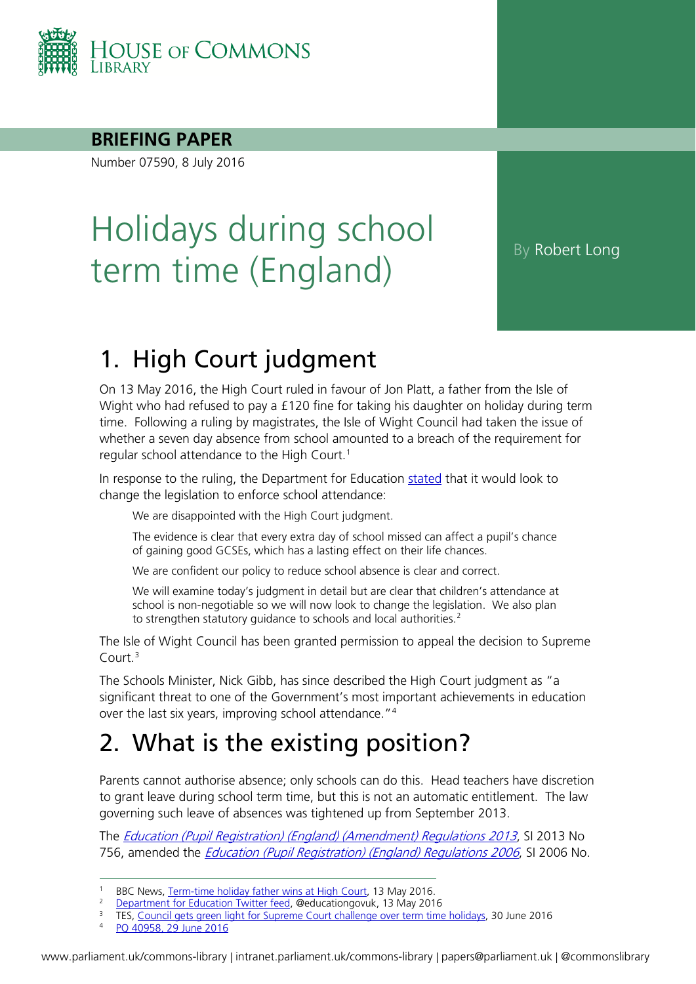

#### **BRIEFING PAPER**

Number 07590, 8 July 2016

# Holidays during school term time (England)

## 1. High Court judgment

On 13 May 2016, the High Court ruled in favour of Jon Platt, a father from the Isle of Wight who had refused to pay a £120 fine for taking his daughter on holiday during term time. Following a ruling by magistrates, the Isle of Wight Council had taken the issue of whether a seven day absence from school amounted to a breach of the requirement for regular school attendance to the High Court.<sup>[1](#page-0-0)</sup>

In response to the ruling, the Department for Education [stated](https://twitter.com/educationgovuk/status/731125975497494533) that it would look to change the legislation to enforce school attendance:

We are disappointed with the High Court judgment.

The evidence is clear that every extra day of school missed can affect a pupil's chance of gaining good GCSEs, which has a lasting effect on their life chances.

We are confident our policy to reduce school absence is clear and correct.

We will examine today's judgment in detail but are clear that children's attendance at school is non-negotiable so we will now look to change the legislation. We also plan to strengthen statutory guidance to schools and local authorities.<sup>[2](#page-0-1)</sup>

The Isle of Wight Council has been granted permission to appeal the decision to Supreme Court.[3](#page-0-2)

The Schools Minister, Nick Gibb, has since described the High Court judgment as "a significant threat to one of the Government's most important achievements in education over the last six years, improving school attendance."<sup>[4](#page-0-3)</sup>

## 2. What is the existing position?

Parents cannot authorise absence; only schools can do this. Head teachers have discretion to grant leave during school term time, but this is not an automatic entitlement. The law governing such leave of absences was tightened up from September 2013.

The *[Education \(Pupil Registration\) \(England\) \(Amendment\) Regulations 2013](http://www.legislation.gov.uk/uksi/2013/756/made)*, SI 2013 No 756, amended the *[Education \(Pupil Registration\) \(England\) Regulations 2006](http://www.legislation.gov.uk/uksi/2006/1751/contents/made)*, SI 2006 No.

<span id="page-0-0"></span><sup>&</sup>lt;sup>1</sup> BBC News, [Term-time holiday father wins at High Court,](http://www.bbc.co.uk/news/education-36277940) 13 May 2016.

<sup>&</sup>lt;sup>2</sup> [Department for Education Twitter feed,](https://twitter.com/educationgovuk/status/731125975497494533) @educationgovuk, 13 May 2016

<span id="page-0-3"></span><span id="page-0-2"></span><span id="page-0-1"></span><sup>&</sup>lt;sup>3</sup> TES, Council gets [green light for Supreme Court challenge over term time holidays,](https://www.tes.com/news/school-news/breaking-news/council-gets-green-light-supreme-court-challenge-over-term-time) 30 June 2016

<sup>4</sup> [PQ 40958, 29 June 2016](http://www.parliament.uk/written-questions-answers-statements/written-question/commons/2016-06-20/40958)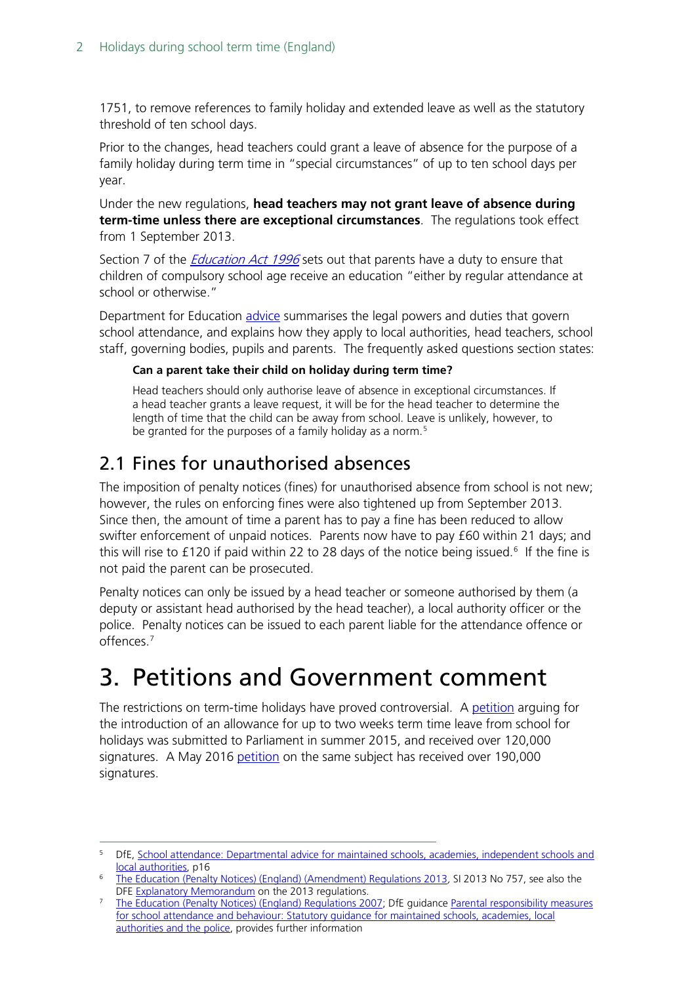1751, to remove references to family holiday and extended leave as well as the statutory threshold of ten school days.

Prior to the changes, head teachers could grant a leave of absence for the purpose of a family holiday during term time in "special circumstances" of up to ten school days per year.

Under the new regulations, **head teachers may not grant leave of absence during term-time unless there are exceptional circumstances**. The regulations took effect from 1 September 2013.

Section 7 of the *[Education Act 1996](http://www.legislation.gov.uk/ukpga/1996/56/section/7)* sets out that parents have a duty to ensure that children of compulsory school age receive an education "either by regular attendance at school or otherwise."

Department for Education [advice](https://www.gov.uk/government/uploads/system/uploads/attachment_data/file/361008/Advice_on_school_attendance_sept_2014.pdf) summarises the legal powers and duties that govern school attendance, and explains how they apply to local authorities, head teachers, school staff, governing bodies, pupils and parents. The frequently asked questions section states:

#### **Can a parent take their child on holiday during term time?**

Head teachers should only authorise leave of absence in exceptional circumstances. If a head teacher grants a leave request, it will be for the head teacher to determine the length of time that the child can be away from school. Leave is unlikely, however, to be granted for the purposes of a family holiday as a norm.<sup>[5](#page-1-0)</sup>

### 2.1 Fines for unauthorised absences

The imposition of penalty notices (fines) for unauthorised absence from school is not new; however, the rules on enforcing fines were also tightened up from September 2013. Since then, the amount of time a parent has to pay a fine has been reduced to allow swifter enforcement of unpaid notices. Parents now have to pay £60 within 21 days; and this will rise to £120 if paid within 22 to 28 days of the notice being issued.<sup>[6](#page-1-1)</sup> If the fine is not paid the parent can be prosecuted.

Penalty notices can only be issued by a head teacher or someone authorised by them (a deputy or assistant head authorised by the head teacher), a local authority officer or the police. Penalty notices can be issued to each parent liable for the attendance offence or offences.<sup>[7](#page-1-2)</sup>

## 3. Petitions and Government comment

The restrictions on term-time holidays have proved controversial. A [petition](https://petition.parliament.uk/petitions/106133) arguing for the introduction of an allowance for up to two weeks term time leave from school for holidays was submitted to Parliament in summer 2015, and received over 120,000 signatures. A May 2016 [petition](https://petition.parliament.uk/petitions/129698) on the same subject has received over 190,000 signatures.

<span id="page-1-0"></span><sup>5</sup> DfE, School attendance: Departmental advice for maintained schools, academies, independent schools and [local authorities,](https://www.gov.uk/government/uploads/system/uploads/attachment_data/file/518586/Advice_on_school_attendance.pdf) p16

<span id="page-1-1"></span><sup>&</sup>lt;sup>6</sup> [The Education \(Penalty Notices\) \(England\) \(Amendment\) Regulations 2013](http://www.legislation.gov.uk/uksi/2013/757/contents/made), SI 2013 No 757, see also the DFE Explanatory Memorandum on the 2013 regulations.

<span id="page-1-2"></span><sup>&</sup>lt;sup>7</sup> The Educati[o](http://www.legislation.gov.uk/uksi/2013/756/pdfs/uksiem_20130756_en.pdf)n (Penalty Notices) (England) Regulations 2007; DfE guidance Parental responsibility measures [for school attendance and behaviour: Statutory guidance for maintained schools, academies, local](https://www.gov.uk/government/uploads/system/uploads/attachment_data/file/401467/parental_responsibility_measures_for_school_attendance_and_behaviour.pdf.pdf)  [authorities and the police,](https://www.gov.uk/government/uploads/system/uploads/attachment_data/file/401467/parental_responsibility_measures_for_school_attendance_and_behaviour.pdf.pdf) provides further information